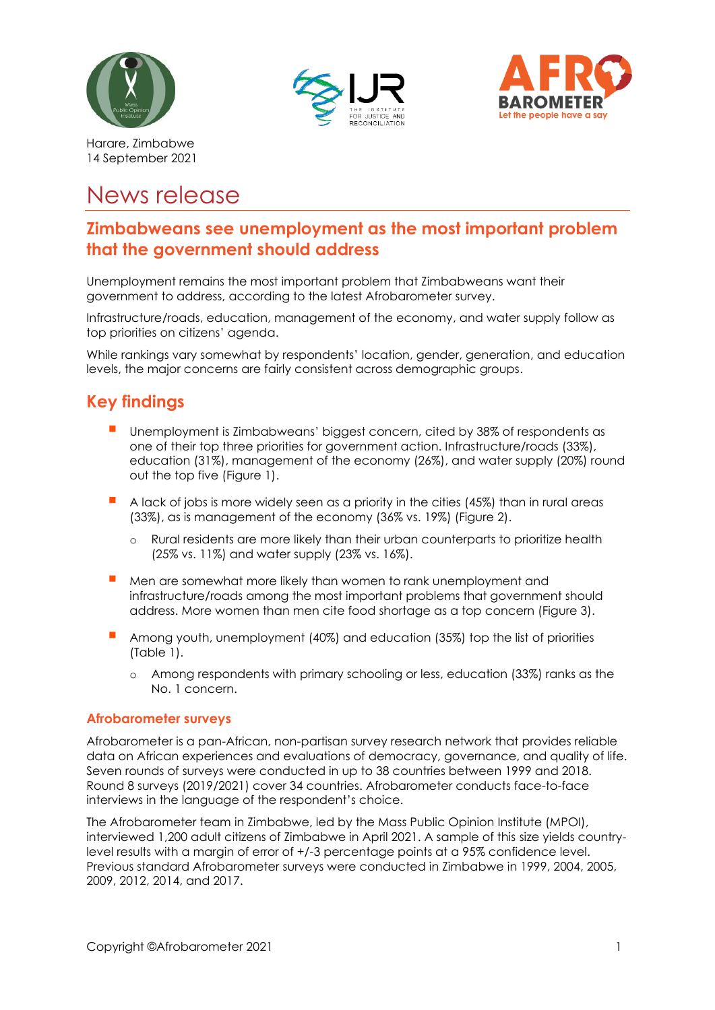





Harare, Zimbabwe 14 September 2021

# News release

# **Zimbabweans see unemployment as the most important problem that the government should address**

Unemployment remains the most important problem that Zimbabweans want their government to address, according to the latest Afrobarometer survey.

Infrastructure/roads, education, management of the economy, and water supply follow as top priorities on citizens' agenda.

While rankings vary somewhat by respondents' location, gender, generation, and education levels, the major concerns are fairly consistent across demographic groups.

# **Key findings**

- Unemployment is Zimbabweans' biggest concern, cited by 38% of respondents as one of their top three priorities for government action. Infrastructure/roads (33%), education (31%), management of the economy (26%), and water supply (20%) round out the top five (Figure 1).
- A lack of jobs is more widely seen as a priority in the cities (45%) than in rural areas (33%), as is management of the economy (36% vs. 19%) (Figure 2).
	- o Rural residents are more likely than their urban counterparts to prioritize health (25% vs. 11%) and water supply (23% vs. 16%).
- Men are somewhat more likely than women to rank unemployment and infrastructure/roads among the most important problems that government should address. More women than men cite food shortage as a top concern (Figure 3).
- Among youth, unemployment (40%) and education (35%) top the list of priorities (Table 1).
	- o Among respondents with primary schooling or less, education (33%) ranks as the No. 1 concern.

#### **Afrobarometer surveys**

Afrobarometer is a pan-African, non-partisan survey research network that provides reliable data on African experiences and evaluations of democracy, governance, and quality of life. Seven rounds of surveys were conducted in up to 38 countries between 1999 and 2018. Round 8 surveys (2019/2021) cover 34 countries. Afrobarometer conducts face-to-face interviews in the language of the respondent's choice.

The Afrobarometer team in Zimbabwe, led by the Mass Public Opinion Institute (MPOI), interviewed 1,200 adult citizens of Zimbabwe in April 2021. A sample of this size yields countrylevel results with a margin of error of +/-3 percentage points at a 95% confidence level. Previous standard Afrobarometer surveys were conducted in Zimbabwe in 1999, 2004, 2005, 2009, 2012, 2014, and 2017.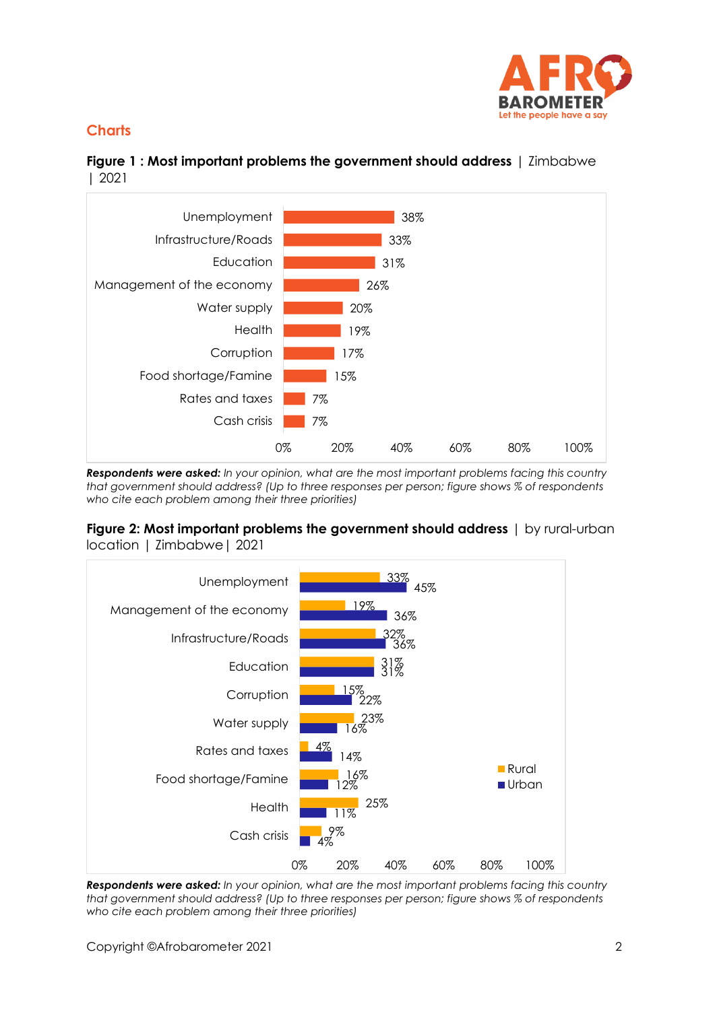

## **Charts**

## **Figure 1 : Most important problems the government should address** | Zimbabwe | 2021



*Respondents were asked: In your opinion, what are the most important problems facing this country that government should address? (Up to three responses per person; figure shows % of respondents who cite each problem among their three priorities)*

#### **Figure 2: Most important problems the government should address** | by rural-urban location | Zimbabwe| 2021



*Respondents were asked: In your opinion, what are the most important problems facing this country that government should address? (Up to three responses per person; figure shows % of respondents who cite each problem among their three priorities)*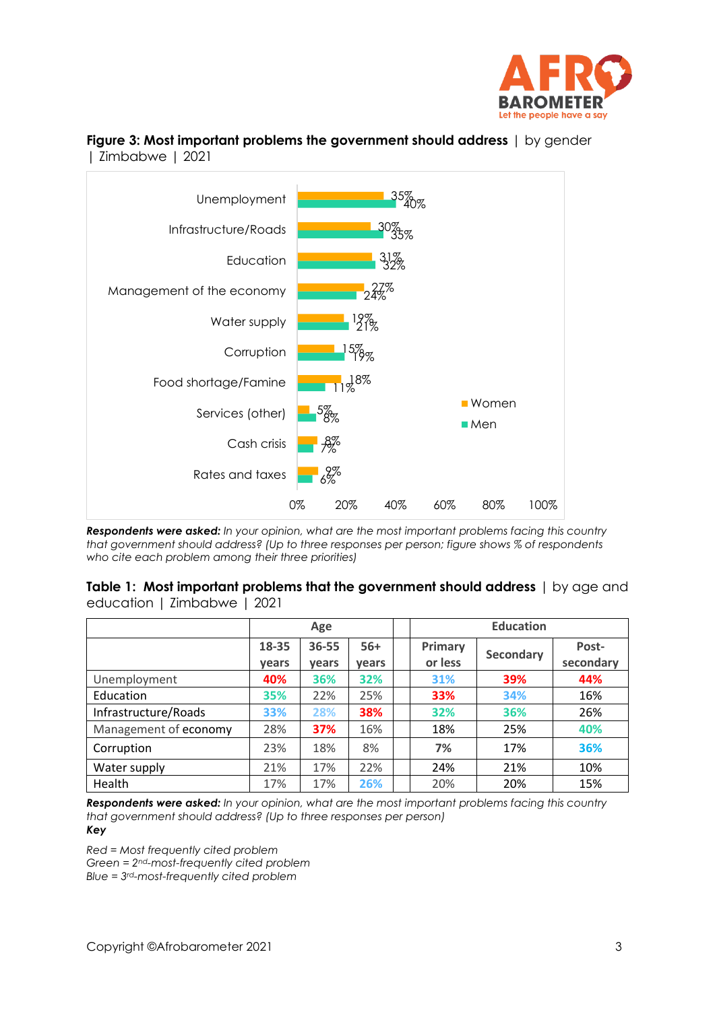

#### **Figure 3: Most important problems the government should address** I by gender | Zimbabwe | 2021



*Respondents were asked: In your opinion, what are the most important problems facing this country that government should address? (Up to three responses per person; figure shows % of respondents who cite each problem among their three priorities)*

**Table 1: Most important problems that the government should address** | by age and education | Zimbabwe | 2021

|                       | Age            |                |                | <b>Education</b>   |                  |                    |
|-----------------------|----------------|----------------|----------------|--------------------|------------------|--------------------|
|                       | 18-35<br>vears | 36-55<br>vears | $56+$<br>vears | Primary<br>or less | <b>Secondary</b> | Post-<br>secondary |
| Unemployment          | 40%            | 36%            | 32%            | 31%                | 39%              | 44%                |
| Education             | 35%            | 22%            | 25%            | 33%                | 34%              | 16%                |
| Infrastructure/Roads  | 33%            | 28%            | 38%            | 32%                | 36%              | 26%                |
| Management of economy | 28%            | 37%            | 16%            | 18%                | 25%              | 40%                |
| Corruption            | 23%            | 18%            | 8%             | 7%                 | 17%              | 36%                |
| Water supply          | 21%            | 17%            | 22%            | 24%                | 21%              | 10%                |
| Health                | 17%            | 17%            | 26%            | 20%                | 20%              | 15%                |

*Respondents were asked: In your opinion, what are the most important problems facing this country that government should address? (Up to three responses per person) Key* 

*Red = Most frequently cited problem*

*Green = 2nd-most-frequently cited problem*

*Blue = 3rd-most-frequently cited problem*